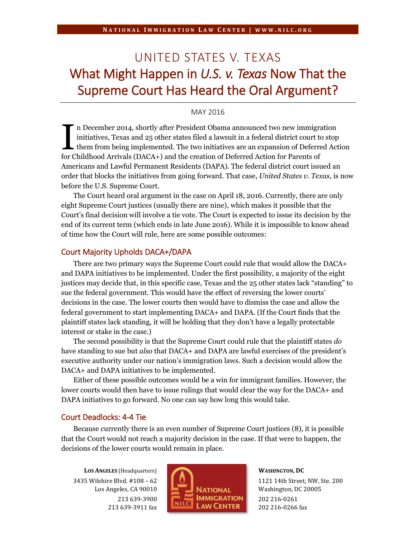# UNITED STATES V. TEXAS What Might Happen in *U.S. v. Texas* Now That the Supreme Court Has Heard the Oral Argument?

## MAY 2016

n December 2014, shortly after President Obama announced two new immigration initiatives, Texas and 25 other states filed a lawsuit in a federal district court to stop them from being implemented. The two initiatives are an expansion of Deferred Action In December 2014, shortly after President Obama announced two new immigral initiatives, Texas and 25 other states filed a lawsuit in a federal district court to them from being implemented. The two initiatives are an expan Americans and Lawful Permanent Residents (DAPA). The federal district court issued an order that blocks the initiatives from going forward. That case, *United States v. Texas*, is now before the U.S. Supreme Court.

The Court heard oral argument in the case on April 18, 2016. Currently, there are only eight Supreme Court justices (usually there are nine), which makes it possible that the Court's final decision will involve a tie vote. The Court is expected to issue its decision by the end of its current term (which ends in late June 2016). While it is impossible to know ahead of time how the Court will rule, here are some possible outcomes:

### Court Majority Upholds DACA+/DAPA

There are two primary ways the Supreme Court could rule that would allow the DACA+ and DAPA initiatives to be implemented. Under the first possibility, a majority of the eight justices may decide that, in this specific case, Texas and the 25 other states lack "standing" to sue the federal government. This would have the effect of reversing the lower courts' decisions in the case. The lower courts then would have to dismiss the case and allow the federal government to start implementing DACA+ and DAPA. (If the Court finds that the plaintiff states lack standing, it will be holding that they don't have a legally protectable interest or stake in the case.)

The second possibility is that the Supreme Court could rule that the plaintiff states *do* have standing to sue but *also* that DACA+ and DAPA are lawful exercises of the president's executive authority under our nation's immigration laws. Such a decision would allow the DACA+ and DAPA initiatives to be implemented.

Either of these possible outcomes would be a win for immigrant families. However, the lower courts would then have to issue rulings that would clear the way for the DACA+ and DAPA initiatives to go forward. No one can say how long this would take.

### Court Deadlocks: 4-4 Tie

Because currently there is an even number of Supreme Court justices (8), it is possible that the Court would not reach a majority decision in the case. If that were to happen, the decisions of the lower courts would remain in place.

**LOS ANGELES** (Headquarters) 3435 Wilshire Blvd. #108 – 62 Los Angeles, CA 90010 213 639-3900 213 639-3911 fax



#### **WASHINGTON, DC**

1121 14th Street, NW, Ste. 200 Washington, DC 20005 202 216-0261 202 216-0266 fax